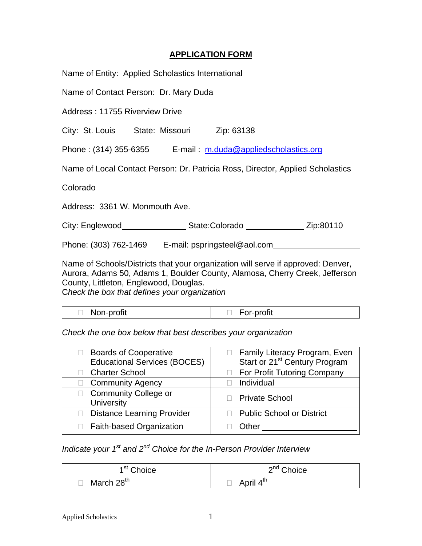## **APPLICATION FORM**

Name of Entity: Applied Scholastics International

Name of Contact Person: Dr. Mary Duda

Address : 11755 Riverview Drive

City: St. Louis State: Missouri Zip: 63138

Phone : (314) 355-6355 E-mail : [m.duda@appliedscholastics.org](mailto:m.duda@appliedscholastics.org)

Name of Local Contact Person: Dr. Patricia Ross, Director, Applied Scholastics

Colorado

Address: 3361 W. Monmouth Ave.

City: Englewood State:Colorado Zip:80110

Phone: (303) 762-1469 E-mail: pspringsteel@aol.com

Name of Schools/Districts that your organization will serve if approved: Denver, Aurora, Adams 50, Adams 1, Boulder County, Alamosa, Cherry Creek, Jefferson County, Littleton, Englewood, Douglas. C*heck the box that defines your organization* 

| Non-profit | For-profit |
|------------|------------|
|------------|------------|

*Check the one box below that best describes your organization* 

| <b>Boards of Cooperative</b><br><b>Educational Services (BOCES)</b> | Family Literacy Program, Even<br>Start or 21 <sup>st</sup> Century Program |  |  |
|---------------------------------------------------------------------|----------------------------------------------------------------------------|--|--|
| <b>Charter School</b>                                               | For Profit Tutoring Company                                                |  |  |
| <b>Community Agency</b>                                             | Individual                                                                 |  |  |
| <b>Community College or</b><br><b>University</b>                    | <b>Private School</b>                                                      |  |  |
| <b>Distance Learning Provider</b>                                   | <b>Public School or District</b>                                           |  |  |
| Faith-based Organization                                            | Other                                                                      |  |  |

*Indicate your 1st and 2nd Choice for the In-Person Provider Interview* 

| 1 <sup>st</sup> Choice | 2 <sup>nd</sup> Choice |  |
|------------------------|------------------------|--|
| March 28 <sup>th</sup> | April 4 <sup>th</sup>  |  |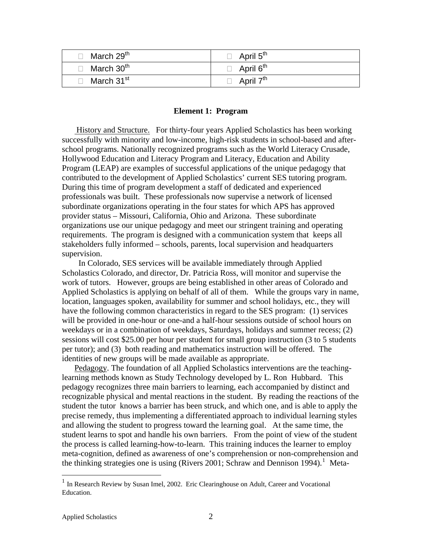| $\Box$ March 29 <sup>th</sup> | $\Box$ April 5 <sup>th</sup> |
|-------------------------------|------------------------------|
| $\Box$ March 30 <sup>th</sup> | $\Box$ April 6 <sup>th</sup> |
| $\Box$ March 31 <sup>st</sup> | April 7 <sup>th</sup>        |

### **Element 1: Program**

 History and Structure. For thirty-four years Applied Scholastics has been working successfully with minority and low-income, high-risk students in school-based and afterschool programs. Nationally recognized programs such as the World Literacy Crusade, Hollywood Education and Literacy Program and Literacy, Education and Ability Program (LEAP) are examples of successful applications of the unique pedagogy that contributed to the development of Applied Scholastics' current SES tutoring program. During this time of program development a staff of dedicated and experienced professionals was built. These professionals now supervise a network of licensed subordinate organizations operating in the four states for which APS has approved provider status – Missouri, California, Ohio and Arizona. These subordinate organizations use our unique pedagogy and meet our stringent training and operating requirements. The program is designed with a communication system that keeps all stakeholders fully informed – schools, parents, local supervision and headquarters supervision.

 In Colorado, SES services will be available immediately through Applied Scholastics Colorado, and director, Dr. Patricia Ross, will monitor and supervise the work of tutors. However, groups are being established in other areas of Colorado and Applied Scholastics is applying on behalf of all of them. While the groups vary in name, location, languages spoken, availability for summer and school holidays, etc., they will have the following common characteristics in regard to the SES program: (1) services will be provided in one-hour or one-and a half-hour sessions outside of school hours on weekdays or in a combination of weekdays, Saturdays, holidays and summer recess; (2) sessions will cost \$25.00 per hour per student for small group instruction (3 to 5 students per tutor); and (3) both reading and mathematics instruction will be offered. The identities of new groups will be made available as appropriate.

Pedagogy. The foundation of all Applied Scholastics interventions are the teachinglearning methods known as Study Technology developed by L. Ron Hubbard. This pedagogy recognizes three main barriers to learning, each accompanied by distinct and recognizable physical and mental reactions in the student. By reading the reactions of the student the tutor knows a barrier has been struck, and which one, and is able to apply the precise remedy, thus implementing a differentiated approach to individual learning styles and allowing the student to progress toward the learning goal. At the same time, the student learns to spot and handle his own barriers. From the point of view of the student the process is called learning-how-to-learn. This training induces the learner to employ meta-cognition, defined as awareness of one's comprehension or non-comprehension and the thinking strategies one is using (Rivers 200[1](#page-1-0); Schraw and Dennison 1994).<sup>1</sup> Meta-

 $\overline{a}$ 

<span id="page-1-0"></span><sup>&</sup>lt;sup>1</sup> In Research Review by Susan Imel, 2002. Eric Clearinghouse on Adult, Career and Vocational Education.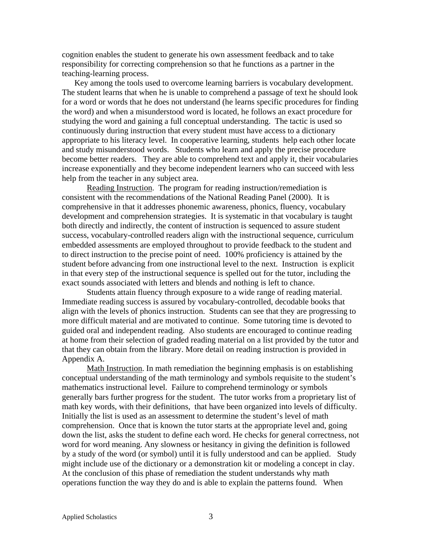cognition enables the student to generate his own assessment feedback and to take responsibility for correcting comprehension so that he functions as a partner in the teaching-learning process.

 Key among the tools used to overcome learning barriers is vocabulary development. The student learns that when he is unable to comprehend a passage of text he should look for a word or words that he does not understand (he learns specific procedures for finding the word) and when a misunderstood word is located, he follows an exact procedure for studying the word and gaining a full conceptual understanding. The tactic is used so continuously during instruction that every student must have access to a dictionary appropriate to his literacy level. In cooperative learning, students help each other locate and study misunderstood words. Students who learn and apply the precise procedure become better readers. They are able to comprehend text and apply it, their vocabularies increase exponentially and they become independent learners who can succeed with less help from the teacher in any subject area.

Reading Instruction. The program for reading instruction/remediation is consistent with the recommendations of the National Reading Panel (2000). It is comprehensive in that it addresses phonemic awareness, phonics, fluency, vocabulary development and comprehension strategies. It is systematic in that vocabulary is taught both directly and indirectly, the content of instruction is sequenced to assure student success, vocabulary-controlled readers align with the instructional sequence, curriculum embedded assessments are employed throughout to provide feedback to the student and to direct instruction to the precise point of need. 100% proficiency is attained by the student before advancing from one instructional level to the next. Instruction is explicit in that every step of the instructional sequence is spelled out for the tutor, including the exact sounds associated with letters and blends and nothing is left to chance.

Students attain fluency through exposure to a wide range of reading material. Immediate reading success is assured by vocabulary-controlled, decodable books that align with the levels of phonics instruction. Students can see that they are progressing to more difficult material and are motivated to continue. Some tutoring time is devoted to guided oral and independent reading. Also students are encouraged to continue reading at home from their selection of graded reading material on a list provided by the tutor and that they can obtain from the library. More detail on reading instruction is provided in Appendix A.

Math Instruction. In math remediation the beginning emphasis is on establishing conceptual understanding of the math terminology and symbols requisite to the student's mathematics instructional level. Failure to comprehend terminology or symbols generally bars further progress for the student. The tutor works from a proprietary list of math key words, with their definitions, that have been organized into levels of difficulty. Initially the list is used as an assessment to determine the student's level of math comprehension. Once that is known the tutor starts at the appropriate level and, going down the list, asks the student to define each word. He checks for general correctness, not word for word meaning. Any slowness or hesitancy in giving the definition is followed by a study of the word (or symbol) until it is fully understood and can be applied. Study might include use of the dictionary or a demonstration kit or modeling a concept in clay. At the conclusion of this phase of remediation the student understands why math operations function the way they do and is able to explain the patterns found. When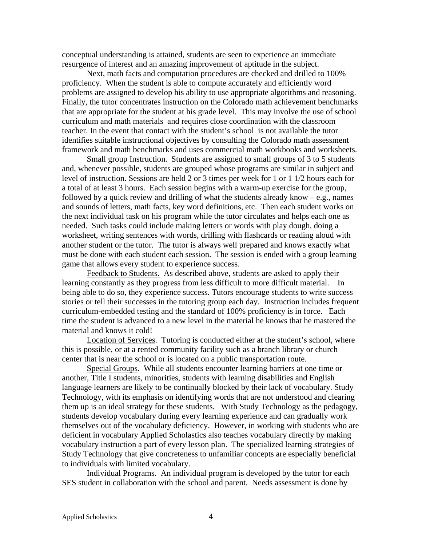conceptual understanding is attained, students are seen to experience an immediate resurgence of interest and an amazing improvement of aptitude in the subject.

 Next, math facts and computation procedures are checked and drilled to 100% proficiency. When the student is able to compute accurately and efficiently word problems are assigned to develop his ability to use appropriate algorithms and reasoning. Finally, the tutor concentrates instruction on the Colorado math achievement benchmarks that are appropriate for the student at his grade level. This may involve the use of school curriculum and math materials and requires close coordination with the classroom teacher. In the event that contact with the student's school is not available the tutor identifies suitable instructional objectives by consulting the Colorado math assessment framework and math benchmarks and uses commercial math workbooks and worksheets.

Small group Instruction. Students are assigned to small groups of 3 to 5 students and, whenever possible, students are grouped whose programs are similar in subject and level of instruction. Sessions are held 2 or 3 times per week for 1 or 1 1/2 hours each for a total of at least 3 hours. Each session begins with a warm-up exercise for the group, followed by a quick review and drilling of what the students already know – e.g., names and sounds of letters, math facts, key word definitions, etc. Then each student works on the next individual task on his program while the tutor circulates and helps each one as needed. Such tasks could include making letters or words with play dough, doing a worksheet, writing sentences with words, drilling with flashcards or reading aloud with another student or the tutor. The tutor is always well prepared and knows exactly what must be done with each student each session. The session is ended with a group learning game that allows every student to experience success.

Feedback to Students. As described above, students are asked to apply their learning constantly as they progress from less difficult to more difficult material. In being able to do so, they experience success. Tutors encourage students to write success stories or tell their successes in the tutoring group each day. Instruction includes frequent curriculum-embedded testing and the standard of 100% proficiency is in force. Each time the student is advanced to a new level in the material he knows that he mastered the material and knows it cold!

Location of Services. Tutoring is conducted either at the student's school, where this is possible, or at a rented community facility such as a branch library or church center that is near the school or is located on a public transportation route.

 Special Groups. While all students encounter learning barriers at one time or another, Title I students, minorities, students with learning disabilities and English language learners are likely to be continually blocked by their lack of vocabulary. Study Technology, with its emphasis on identifying words that are not understood and clearing them up is an ideal strategy for these students. With Study Technology as the pedagogy, students develop vocabulary during every learning experience and can gradually work themselves out of the vocabulary deficiency. However, in working with students who are deficient in vocabulary Applied Scholastics also teaches vocabulary directly by making vocabulary instruction a part of every lesson plan. The specialized learning strategies of Study Technology that give concreteness to unfamiliar concepts are especially beneficial to individuals with limited vocabulary.

Individual Programs. An individual program is developed by the tutor for each SES student in collaboration with the school and parent. Needs assessment is done by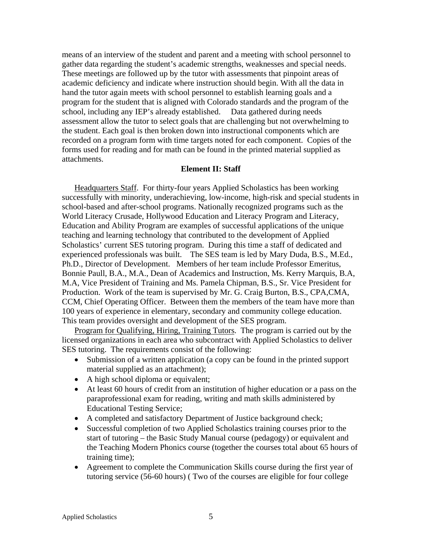means of an interview of the student and parent and a meeting with school personnel to gather data regarding the student's academic strengths, weaknesses and special needs. These meetings are followed up by the tutor with assessments that pinpoint areas of academic deficiency and indicate where instruction should begin. With all the data in hand the tutor again meets with school personnel to establish learning goals and a program for the student that is aligned with Colorado standards and the program of the school, including any IEP's already established. Data gathered during needs assessment allow the tutor to select goals that are challenging but not overwhelming to the student. Each goal is then broken down into instructional components which are recorded on a program form with time targets noted for each component. Copies of the forms used for reading and for math can be found in the printed material supplied as attachments.

### **Element II: Staff**

Headquarters Staff. For thirty-four years Applied Scholastics has been working successfully with minority, underachieving, low-income, high-risk and special students in school-based and after-school programs. Nationally recognized programs such as the World Literacy Crusade, Hollywood Education and Literacy Program and Literacy, Education and Ability Program are examples of successful applications of the unique teaching and learning technology that contributed to the development of Applied Scholastics' current SES tutoring program. During this time a staff of dedicated and experienced professionals was built. The SES team is led by Mary Duda, B.S., M.Ed., Ph.D., Director of Development. Members of her team include Professor Emeritus, Bonnie Paull, B.A., M.A., Dean of Academics and Instruction, Ms. Kerry Marquis, B.A, M.A, Vice President of Training and Ms. Pamela Chipman, B.S., Sr. Vice President for Production. Work of the team is supervised by Mr. G. Craig Burton, B.S., CPA,CMA, CCM, Chief Operating Officer. Between them the members of the team have more than 100 years of experience in elementary, secondary and community college education. This team provides oversight and development of the SES program.

Program for Qualifying, Hiring, Training Tutors. The program is carried out by the licensed organizations in each area who subcontract with Applied Scholastics to deliver SES tutoring. The requirements consist of the following:

- Submission of a written application (a copy can be found in the printed support material supplied as an attachment);
- A high school diploma or equivalent;
- At least 60 hours of credit from an institution of higher education or a pass on the paraprofessional exam for reading, writing and math skills administered by Educational Testing Service;
- A completed and satisfactory Department of Justice background check;
- Successful completion of two Applied Scholastics training courses prior to the start of tutoring – the Basic Study Manual course (pedagogy) or equivalent and the Teaching Modern Phonics course (together the courses total about 65 hours of training time);
- Agreement to complete the Communication Skills course during the first year of tutoring service (56-60 hours) ( Two of the courses are eligible for four college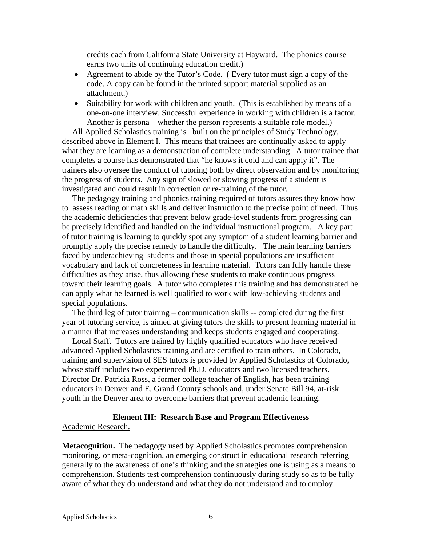credits each from California State University at Hayward. The phonics course earns two units of continuing education credit.)

- Agreement to abide by the Tutor's Code. (Every tutor must sign a copy of the code. A copy can be found in the printed support material supplied as an attachment.)
- Suitability for work with children and youth. (This is established by means of a one-on-one interview. Successful experience in working with children is a factor. Another is persona – whether the person represents a suitable role model.)

 All Applied Scholastics training is built on the principles of Study Technology, described above in Element I. This means that trainees are continually asked to apply what they are learning as a demonstration of complete understanding. A tutor trainee that completes a course has demonstrated that "he knows it cold and can apply it". The trainers also oversee the conduct of tutoring both by direct observation and by monitoring the progress of students. Any sign of slowed or slowing progress of a student is investigated and could result in correction or re-training of the tutor.

 The pedagogy training and phonics training required of tutors assures they know how to assess reading or math skills and deliver instruction to the precise point of need. Thus the academic deficiencies that prevent below grade-level students from progressing can be precisely identified and handled on the individual instructional program. A key part of tutor training is learning to quickly spot any symptom of a student learning barrier and promptly apply the precise remedy to handle the difficulty. The main learning barriers faced by underachieving students and those in special populations are insufficient vocabulary and lack of concreteness in learning material. Tutors can fully handle these difficulties as they arise, thus allowing these students to make continuous progress toward their learning goals. A tutor who completes this training and has demonstrated he can apply what he learned is well qualified to work with low-achieving students and special populations.

 The third leg of tutor training – communication skills -- completed during the first year of tutoring service, is aimed at giving tutors the skills to present learning material in a manner that increases understanding and keeps students engaged and cooperating.

 Local Staff. Tutors are trained by highly qualified educators who have received advanced Applied Scholastics training and are certified to train others. In Colorado, training and supervision of SES tutors is provided by Applied Scholastics of Colorado, whose staff includes two experienced Ph.D. educators and two licensed teachers. Director Dr. Patricia Ross, a former college teacher of English, has been training educators in Denver and E. Grand County schools and, under Senate Bill 94, at-risk youth in the Denver area to overcome barriers that prevent academic learning.

# **Element III: Research Base and Program Effectiveness**

### Academic Research.

**Metacognition.** The pedagogy used by Applied Scholastics promotes comprehension monitoring, or meta-cognition, an emerging construct in educational research referring generally to the awareness of one's thinking and the strategies one is using as a means to comprehension. Students test comprehension continuously during study so as to be fully aware of what they do understand and what they do not understand and to employ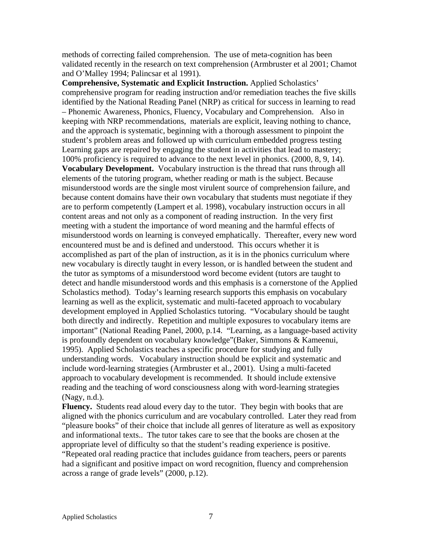methods of correcting failed comprehension. The use of meta-cognition has been validated recently in the research on text comprehension (Armbruster et al 2001; Chamot and O'Malley 1994; Palincsar et al 1991).

**Comprehensive, Systematic and Explicit Instruction.** Applied Scholastics' comprehensive program for reading instruction and/or remediation teaches the five skills identified by the National Reading Panel (NRP) as critical for success in learning to read – Phonemic Awareness, Phonics, Fluency, Vocabulary and Comprehension. Also in keeping with NRP recommendations, materials are explicit, leaving nothing to chance, and the approach is systematic, beginning with a thorough assessment to pinpoint the student's problem areas and followed up with curriculum embedded progress testing Learning gaps are repaired by engaging the student in activities that lead to mastery; 100% proficiency is required to advance to the next level in phonics. (2000, 8, 9, 14). **Vocabulary Development.** Vocabulary instruction is the thread that runs through all elements of the tutoring program, whether reading or math is the subject. Because misunderstood words are the single most virulent source of comprehension failure, and because content domains have their own vocabulary that students must negotiate if they are to perform competently (Lampert et al. 1998), vocabulary instruction occurs in all content areas and not only as a component of reading instruction. In the very first meeting with a student the importance of word meaning and the harmful effects of misunderstood words on learning is conveyed emphatically. Thereafter, every new word encountered must be and is defined and understood. This occurs whether it is accomplished as part of the plan of instruction, as it is in the phonics curriculum where new vocabulary is directly taught in every lesson, or is handled between the student and the tutor as symptoms of a misunderstood word become evident (tutors are taught to detect and handle misunderstood words and this emphasis is a cornerstone of the Applied Scholastics method). Today's learning research supports this emphasis on vocabulary learning as well as the explicit, systematic and multi-faceted approach to vocabulary development employed in Applied Scholastics tutoring. "Vocabulary should be taught both directly and indirectly. Repetition and multiple exposures to vocabulary items are important" (National Reading Panel, 2000, p.14. "Learning, as a language-based activity is profoundly dependent on vocabulary knowledge"(Baker, Simmons & Kameenui, 1995). Applied Scholastics teaches a specific procedure for studying and fully understanding words. Vocabulary instruction should be explicit and systematic and include word-learning strategies (Armbruster et al., 2001). Using a multi-faceted approach to vocabulary development is recommended. It should include extensive reading and the teaching of word consciousness along with word-learning strategies (Nagy, n.d.).

**Fluency.** Students read aloud every day to the tutor. They begin with books that are aligned with the phonics curriculum and are vocabulary controlled. Later they read from "pleasure books" of their choice that include all genres of literature as well as expository and informational texts.. The tutor takes care to see that the books are chosen at the appropriate level of difficulty so that the student's reading experience is positive. "Repeated oral reading practice that includes guidance from teachers, peers or parents had a significant and positive impact on word recognition, fluency and comprehension across a range of grade levels" (2000, p.12).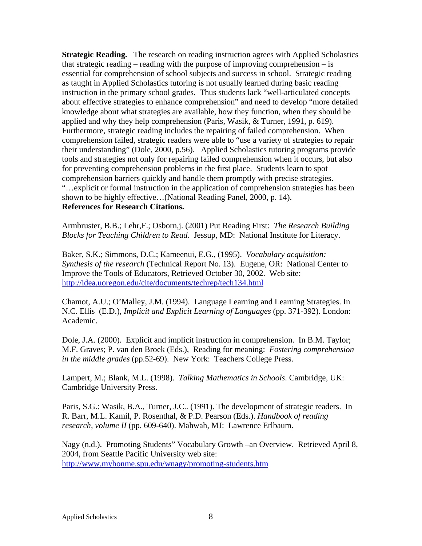**Strategic Reading.** The research on reading instruction agrees with Applied Scholastics that strategic reading – reading with the purpose of improving comprehension – is essential for comprehension of school subjects and success in school. Strategic reading as taught in Applied Scholastics tutoring is not usually learned during basic reading instruction in the primary school grades. Thus students lack "well-articulated concepts about effective strategies to enhance comprehension" and need to develop "more detailed knowledge about what strategies are available, how they function, when they should be applied and why they help comprehension (Paris, Wasik, & Turner, 1991, p. 619). Furthermore, strategic reading includes the repairing of failed comprehension. When comprehension failed, strategic readers were able to "use a variety of strategies to repair their understanding" (Dole, 2000, p.56). Applied Scholastics tutoring programs provide tools and strategies not only for repairing failed comprehension when it occurs, but also for preventing comprehension problems in the first place. Students learn to spot comprehension barriers quickly and handle them promptly with precise strategies. "…explicit or formal instruction in the application of comprehension strategies has been shown to be highly effective…(National Reading Panel, 2000, p. 14). **References for Research Citations.** 

Armbruster, B.B.; Lehr,F.; Osborn,j. (2001) Put Reading First: *The Research Building Blocks for Teaching Children to Read*. Jessup, MD: National Institute for Literacy.

Baker, S.K.; Simmons, D.C.; Kameenui, E.G., (1995). *Vocabulary acquisition: Synthesis of the research* (Technical Report No. 13). Eugene, OR: National Center to Improve the Tools of Educators, Retrieved October 30, 2002. Web site: <http://idea.uoregon.edu/cite/documents/techrep/tech134.html>

Chamot, A.U.; O'Malley, J.M. (1994). Language Learning and Learning Strategies. In N.C. Ellis (E.D.), *Implicit and Explicit Learning of Languages* (pp. 371-392). London: Academic.

Dole, J.A. (2000). Explicit and implicit instruction in comprehension. In B.M. Taylor; M.F. Graves; P. van den Broek (Eds.), Reading for meaning: *Fostering comprehension in the middle grades* (pp.52-69). New York: Teachers College Press.

Lampert, M.; Blank, M.L. (1998). *Talking Mathematics in Schools*. Cambridge, UK: Cambridge University Press.

Paris, S.G.: Wasik, B.A., Turner, J.C.. (1991). The development of strategic readers. In R. Barr, M.L. Kamil, P. Rosenthal, & P.D. Pearson (Eds.). *Handbook of reading research, volume II* (pp. 609-640). Mahwah, MJ: Lawrence Erlbaum.

Nagy (n.d.). Promoting Students" Vocabulary Growth –an Overview. Retrieved April 8, 2004, from Seattle Pacific University web site: <http://www.myhonme.spu.edu/wnagy/promoting-students.htm>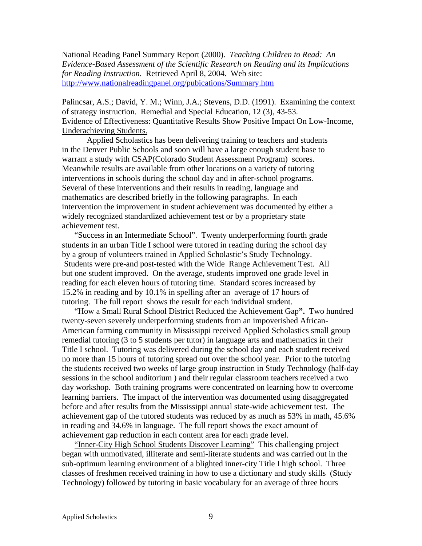National Reading Panel Summary Report (2000). *Teaching Children to Read: An Evidence-Based Assessment of the Scientific Research on Reading and its Implications for Reading Instruction*. Retrieved April 8, 2004. Web site: <http://www.nationalreadingpanel.org/pubications/Summary.htm>

Palincsar, A.S.; David, Y. M.; Winn, J.A.; Stevens, D.D. (1991). Examining the context of strategy instruction. Remedial and Special Education, 12 (3), 43-53. Evidence of Effectiveness: Quantitative Results Show Positive Impact On Low-Income, Underachieving Students.

Applied Scholastics has been delivering training to teachers and students in the Denver Public Schools and soon will have a large enough student base to warrant a study with CSAP(Colorado Student Assessment Program) scores. Meanwhile results are available from other locations on a variety of tutoring interventions in schools during the school day and in after-school programs. Several of these interventions and their results in reading, language and mathematics are described briefly in the following paragraphs. In each intervention the improvement in student achievement was documented by either a widely recognized standardized achievement test or by a proprietary state achievement test.

 "Success in an Intermediate School". Twenty underperforming fourth grade students in an urban Title I school were tutored in reading during the school day by a group of volunteers trained in Applied Scholastic's Study Technology. Students were pre-and post-tested with the Wide Range Achievement Test. All but one student improved. On the average, students improved one grade level in reading for each eleven hours of tutoring time. Standard scores increased by 15.2% in reading and by 10.1% in spelling after an average of 17 hours of tutoring. The full report shows the result for each individual student.

"How a Small Rural School District Reduced the Achievement Gap**".** Two hundred twenty-seven severely underperforming students from an impoverished African-American farming community in Mississippi received Applied Scholastics small group remedial tutoring (3 to 5 students per tutor) in language arts and mathematics in their Title I school. Tutoring was delivered during the school day and each student received no more than 15 hours of tutoring spread out over the school year. Prior to the tutoring the students received two weeks of large group instruction in Study Technology (half-day sessions in the school auditorium ) and their regular classroom teachers received a two day workshop. Both training programs were concentrated on learning how to overcome learning barriers. The impact of the intervention was documented using disaggregated before and after results from the Mississippi annual state-wide achievement test. The achievement gap of the tutored students was reduced by as much as 53% in math, 45.6% in reading and 34.6% in language. The full report shows the exact amount of achievement gap reduction in each content area for each grade level.

"Inner-City High School Students Discover Learning"This challenging project began with unmotivated, illiterate and semi-literate students and was carried out in the sub-optimum learning environment of a blighted inner-city Title I high school. Three classes of freshmen received training in how to use a dictionary and study skills (Study Technology) followed by tutoring in basic vocabulary for an average of three hours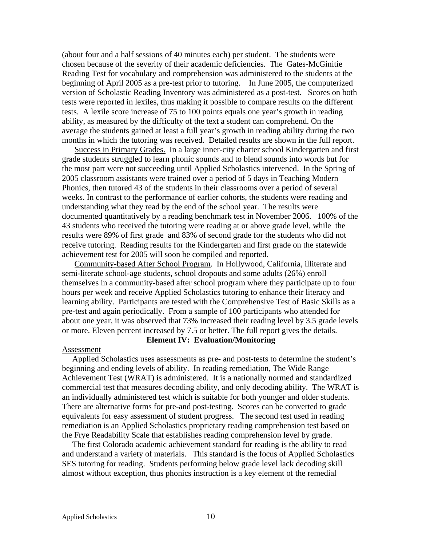(about four and a half sessions of 40 minutes each) per student. The students were chosen because of the severity of their academic deficiencies. The Gates-McGinitie Reading Test for vocabulary and comprehension was administered to the students at the beginning of April 2005 as a pre-test prior to tutoring. In June 2005, the computerized version of Scholastic Reading Inventory was administered as a post-test. Scores on both tests were reported in lexiles, thus making it possible to compare results on the different tests. A lexile score increase of 75 to 100 points equals one year's growth in reading ability, as measured by the difficulty of the text a student can comprehend. On the average the students gained at least a full year's growth in reading ability during the two months in which the tutoring was received. Detailed results are shown in the full report.

Success in Primary Grades. In a large inner-city charter school Kindergarten and first grade students struggled to learn phonic sounds and to blend sounds into words but for the most part were not succeeding until Applied Scholastics intervened. In the Spring of 2005 classroom assistants were trained over a period of 5 days in Teaching Modern Phonics, then tutored 43 of the students in their classrooms over a period of several weeks. In contrast to the performance of earlier cohorts, the students were reading and understanding what they read by the end of the school year. The results were documented quantitatively by a reading benchmark test in November 2006. 100% of the 43 students who received the tutoring were reading at or above grade level, while the results were 89% of first grade and 83% of second grade for the students who did not receive tutoring. Reading results for the Kindergarten and first grade on the statewide achievement test for 2005 will soon be compiled and reported.

Community-based After School Program. In Hollywood, California, illiterate and semi-literate school-age students, school dropouts and some adults (26%) enroll themselves in a community-based after school program where they participate up to four hours per week and receive Applied Scholastics tutoring to enhance their literacy and learning ability. Participants are tested with the Comprehensive Test of Basic Skills as a pre-test and again periodically. From a sample of 100 participants who attended for about one year, it was observed that 73% increased their reading level by 3.5 grade levels or more. Eleven percent increased by 7.5 or better. The full report gives the details.

### **Element IV: Evaluation/Monitoring**

#### Assessment

 Applied Scholastics uses assessments as pre- and post-tests to determine the student's beginning and ending levels of ability. In reading remediation, The Wide Range Achievement Test (WRAT) is administered. It is a nationally normed and standardized commercial test that measures decoding ability, and only decoding ability. The WRAT is an individually administered test which is suitable for both younger and older students. There are alternative forms for pre-and post-testing. Scores can be converted to grade equivalents for easy assessment of student progress. The second test used in reading remediation is an Applied Scholastics proprietary reading comprehension test based on the Frye Readability Scale that establishes reading comprehension level by grade.

 The first Colorado academic achievement standard for reading is the ability to read and understand a variety of materials. This standard is the focus of Applied Scholastics SES tutoring for reading. Students performing below grade level lack decoding skill almost without exception, thus phonics instruction is a key element of the remedial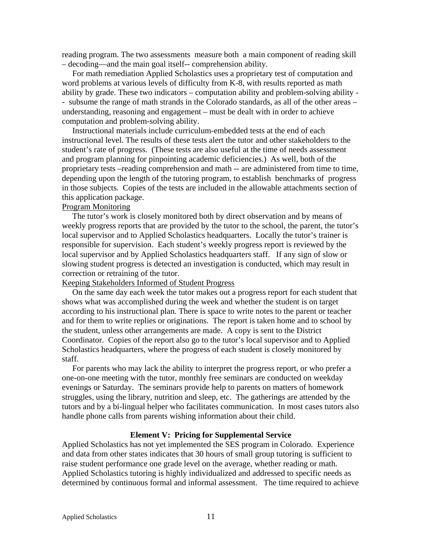reading program. The two assessments measure both a main component of reading skill – decoding—and the main goal itself-- comprehension ability.

 For math remediation Applied Scholastics uses a proprietary test of computation and word problems at various levels of difficulty from K-8, with results reported as math ability by grade. These two indicators – computation ability and problem-solving ability - - subsume the range of math strands in the Colorado standards, as all of the other areas – understanding, reasoning and engagement – must be dealt with in order to achieve computation and problem-solving ability.

 Instructional materials include curriculum-embedded tests at the end of each instructional level. The results of these tests alert the tutor and other stakeholders to the student's rate of progress. (These tests are also useful at the time of needs assessment and program planning for pinpointing academic deficiencies.) As well, both of the proprietary tests –reading comprehension and math -- are administered from time to time, depending upon the length of the tutoring program, to establish benchmarks of progress in those subjects. Copies of the tests are included in the allowable attachments section of this application package.

### Program Monitoring

 The tutor's work is closely monitored both by direct observation and by means of weekly progress reports that are provided by the tutor to the school, the parent, the tutor's local supervisor and to Applied Scholastics headquarters. Locally the tutor's trainer is responsible for supervision. Each student's weekly progress report is reviewed by the local supervisor and by Applied Scholastics headquarters staff. If any sign of slow or slowing student progress is detected an investigation is conducted, which may result in correction or retraining of the tutor.

### Keeping Stakeholders Informed of Student Progress

 On the same day each week the tutor makes out a progress report for each student that shows what was accomplished during the week and whether the student is on target according to his instructional plan. There is space to write notes to the parent or teacher and for them to write replies or originations. The report is taken home and to school by the student, unless other arrangements are made. A copy is sent to the District Coordinator. Copies of the report also go to the tutor's local supervisor and to Applied Scholastics headquarters, where the progress of each student is closely monitored by staff.

 For parents who may lack the ability to interpret the progress report, or who prefer a one-on-one meeting with the tutor, monthly free seminars are conducted on weekday evenings or Saturday. The seminars provide help to parents on matters of homework struggles, using the library, nutrition and sleep, etc. The gatherings are attended by the tutors and by a bi-lingual helper who facilitates communication. In most cases tutors also handle phone calls from parents wishing information about their child.

#### **Element V: Pricing for Supplemental Service**

Applied Scholastics has not yet implemented the SES program in Colorado. Experience and data from other states indicates that 30 hours of small group tutoring is sufficient to raise student performance one grade level on the average, whether reading or math. Applied Scholastics tutoring is highly individualized and addressed to specific needs as determined by continuous formal and informal assessment. The time required to achieve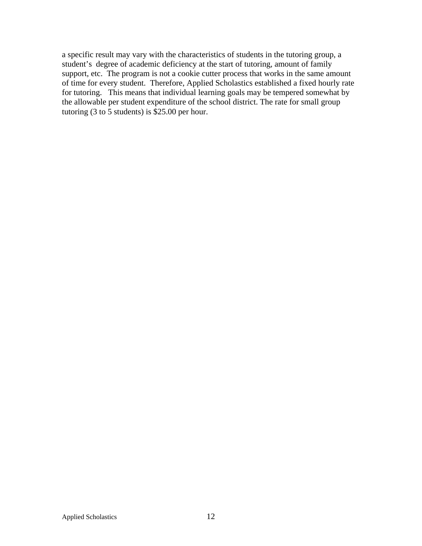a specific result may vary with the characteristics of students in the tutoring group, a student's degree of academic deficiency at the start of tutoring, amount of family support, etc. The program is not a cookie cutter process that works in the same amount of time for every student. Therefore, Applied Scholastics established a fixed hourly rate for tutoring. This means that individual learning goals may be tempered somewhat by the allowable per student expenditure of the school district. The rate for small group tutoring (3 to  $\overline{5}$  students) is \$25.00 per hour.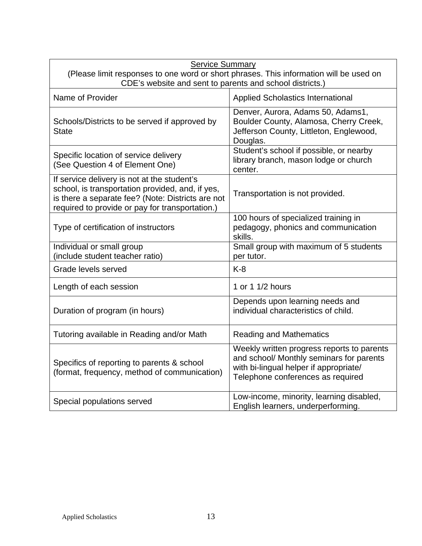| <b>Service Summary</b><br>(Please limit responses to one word or short phrases. This information will be used on<br>CDE's website and sent to parents and school districts.)                            |                                                                                                                                                                       |  |  |  |
|---------------------------------------------------------------------------------------------------------------------------------------------------------------------------------------------------------|-----------------------------------------------------------------------------------------------------------------------------------------------------------------------|--|--|--|
| Name of Provider                                                                                                                                                                                        | <b>Applied Scholastics International</b>                                                                                                                              |  |  |  |
| Schools/Districts to be served if approved by<br><b>State</b>                                                                                                                                           | Denver, Aurora, Adams 50, Adams1,<br>Boulder County, Alamosa, Cherry Creek,<br>Jefferson County, Littleton, Englewood,<br>Douglas.                                    |  |  |  |
| Specific location of service delivery<br>(See Question 4 of Element One)                                                                                                                                | Student's school if possible, or nearby<br>library branch, mason lodge or church<br>center.                                                                           |  |  |  |
| If service delivery is not at the student's<br>school, is transportation provided, and, if yes,<br>is there a separate fee? (Note: Districts are not<br>required to provide or pay for transportation.) | Transportation is not provided.                                                                                                                                       |  |  |  |
| Type of certification of instructors                                                                                                                                                                    | 100 hours of specialized training in<br>pedagogy, phonics and communication<br>skills.                                                                                |  |  |  |
| Individual or small group<br>(include student teacher ratio)                                                                                                                                            | Small group with maximum of 5 students<br>per tutor.                                                                                                                  |  |  |  |
| Grade levels served                                                                                                                                                                                     | $K-8$                                                                                                                                                                 |  |  |  |
| Length of each session                                                                                                                                                                                  | 1 or 1 1/2 hours                                                                                                                                                      |  |  |  |
| Duration of program (in hours)                                                                                                                                                                          | Depends upon learning needs and<br>individual characteristics of child.                                                                                               |  |  |  |
| Tutoring available in Reading and/or Math                                                                                                                                                               | <b>Reading and Mathematics</b>                                                                                                                                        |  |  |  |
| Specifics of reporting to parents & school<br>(format, frequency, method of communication)                                                                                                              | Weekly written progress reports to parents<br>and school/ Monthly seminars for parents<br>with bi-lingual helper if appropriate/<br>Telephone conferences as required |  |  |  |
| Special populations served                                                                                                                                                                              | Low-income, minority, learning disabled,<br>English learners, underperforming.                                                                                        |  |  |  |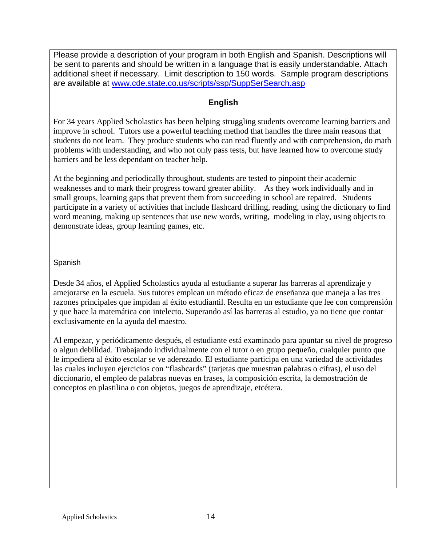Please provide a description of your program in both English and Spanish. Descriptions will be sent to parents and should be written in a language that is easily understandable. Attach additional sheet if necessary. Limit description to 150 words. Sample program descriptions are available at [www.cde.state.co.us/scripts/ssp/SuppSerSearch.asp](http://www.cde.state.co.us/scripts/ssp/SuppSerSearch.asp) 

# **English**

For 34 years Applied Scholastics has been helping struggling students overcome learning barriers and improve in school. Tutors use a powerful teaching method that handles the three main reasons that students do not learn. They produce students who can read fluently and with comprehension, do math problems with understanding, and who not only pass tests, but have learned how to overcome study barriers and be less dependant on teacher help.

At the beginning and periodically throughout, students are tested to pinpoint their academic weaknesses and to mark their progress toward greater ability. As they work individually and in small groups, learning gaps that prevent them from succeeding in school are repaired. Students participate in a variety of activities that include flashcard drilling, reading, using the dictionary to find word meaning, making up sentences that use new words, writing, modeling in clay, using objects to demonstrate ideas, group learning games, etc.

Spanish

Desde 34 años, el Applied Scholastics ayuda al estudiante a superar las barreras al aprendizaje y amejorarse en la escuela. Sus tutores emplean un método eficaz de enseñanza que maneja a las tres razones principales que impidan al éxito estudiantil. Resulta en un estudiante que lee con comprensión y que hace la matemática con intelecto. Superando así las barreras al estudio, ya no tiene que contar exclusivamente en la ayuda del maestro.

Al empezar, y periódicamente después, el estudiante está examinado para apuntar su nivel de progreso o algun debilidad. Trabajando individualmente con el tutor o en grupo pequeño, cualquier punto que le impediera al éxito escolar se ve aderezado. El estudiante participa en una variedad de actividades las cuales incluyen ejercicios con "flashcards" (tarjetas que muestran palabras o cifras), el uso del diccionario, el empleo de palabras nuevas en frases, la composición escrita, la demostración de conceptos en plastilina o con objetos, juegos de aprendizaje, etcétera.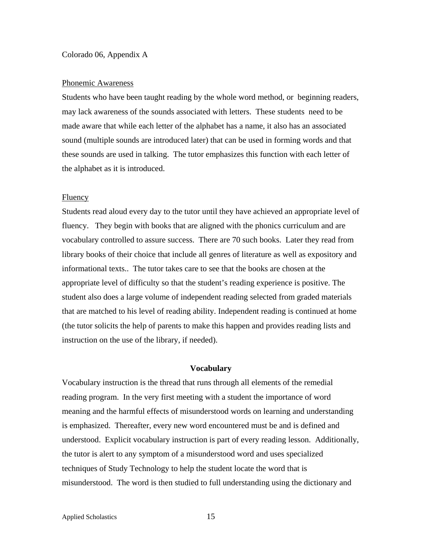#### Colorado 06, Appendix A

#### Phonemic Awareness

Students who have been taught reading by the whole word method, or beginning readers, may lack awareness of the sounds associated with letters. These students need to be made aware that while each letter of the alphabet has a name, it also has an associated sound (multiple sounds are introduced later) that can be used in forming words and that these sounds are used in talking. The tutor emphasizes this function with each letter of the alphabet as it is introduced.

#### Fluency

Students read aloud every day to the tutor until they have achieved an appropriate level of fluency. They begin with books that are aligned with the phonics curriculum and are vocabulary controlled to assure success. There are 70 such books. Later they read from library books of their choice that include all genres of literature as well as expository and informational texts.. The tutor takes care to see that the books are chosen at the appropriate level of difficulty so that the student's reading experience is positive. The student also does a large volume of independent reading selected from graded materials that are matched to his level of reading ability. Independent reading is continued at home (the tutor solicits the help of parents to make this happen and provides reading lists and instruction on the use of the library, if needed).

### **Vocabulary**

Vocabulary instruction is the thread that runs through all elements of the remedial reading program. In the very first meeting with a student the importance of word meaning and the harmful effects of misunderstood words on learning and understanding is emphasized. Thereafter, every new word encountered must be and is defined and understood. Explicit vocabulary instruction is part of every reading lesson. Additionally, the tutor is alert to any symptom of a misunderstood word and uses specialized techniques of Study Technology to help the student locate the word that is misunderstood. The word is then studied to full understanding using the dictionary and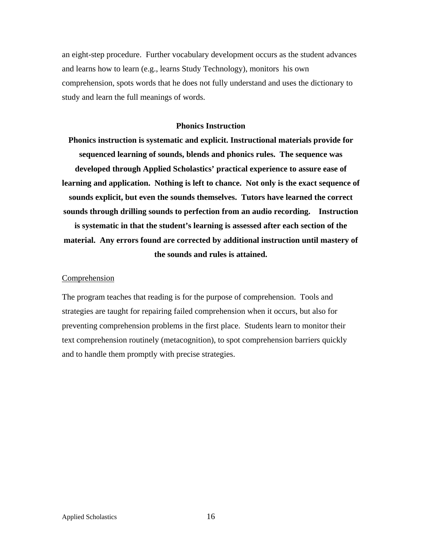an eight-step procedure. Further vocabulary development occurs as the student advances and learns how to learn (e.g., learns Study Technology), monitors his own comprehension, spots words that he does not fully understand and uses the dictionary to study and learn the full meanings of words.

#### **Phonics Instruction**

**Phonics instruction is systematic and explicit. Instructional materials provide for sequenced learning of sounds, blends and phonics rules. The sequence was developed through Applied Scholastics' practical experience to assure ease of learning and application. Nothing is left to chance. Not only is the exact sequence of sounds explicit, but even the sounds themselves. Tutors have learned the correct sounds through drilling sounds to perfection from an audio recording. Instruction is systematic in that the student's learning is assessed after each section of the material. Any errors found are corrected by additional instruction until mastery of the sounds and rules is attained.** 

### Comprehension

The program teaches that reading is for the purpose of comprehension. Tools and strategies are taught for repairing failed comprehension when it occurs, but also for preventing comprehension problems in the first place. Students learn to monitor their text comprehension routinely (metacognition), to spot comprehension barriers quickly and to handle them promptly with precise strategies.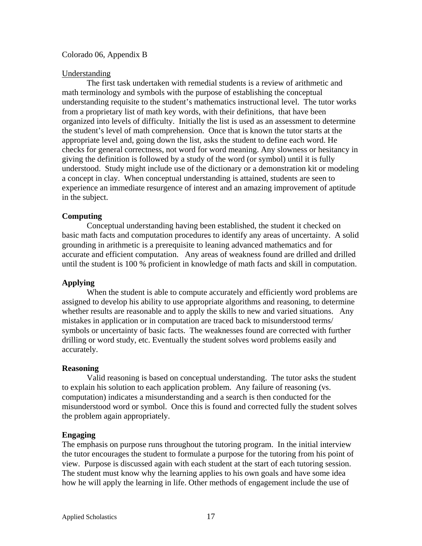### Colorado 06, Appendix B

### Understanding

The first task undertaken with remedial students is a review of arithmetic and math terminology and symbols with the purpose of establishing the conceptual understanding requisite to the student's mathematics instructional level. The tutor works from a proprietary list of math key words, with their definitions, that have been organized into levels of difficulty. Initially the list is used as an assessment to determine the student's level of math comprehension. Once that is known the tutor starts at the appropriate level and, going down the list, asks the student to define each word. He checks for general correctness, not word for word meaning. Any slowness or hesitancy in giving the definition is followed by a study of the word (or symbol) until it is fully understood. Study might include use of the dictionary or a demonstration kit or modeling a concept in clay. When conceptual understanding is attained, students are seen to experience an immediate resurgence of interest and an amazing improvement of aptitude in the subject.

### **Computing**

Conceptual understanding having been established, the student it checked on basic math facts and computation procedures to identify any areas of uncertainty. A solid grounding in arithmetic is a prerequisite to leaning advanced mathematics and for accurate and efficient computation. Any areas of weakness found are drilled and drilled until the student is 100 % proficient in knowledge of math facts and skill in computation.

### **Applying**

When the student is able to compute accurately and efficiently word problems are assigned to develop his ability to use appropriate algorithms and reasoning, to determine whether results are reasonable and to apply the skills to new and varied situations. Any mistakes in application or in computation are traced back to misunderstood terms/ symbols or uncertainty of basic facts. The weaknesses found are corrected with further drilling or word study, etc. Eventually the student solves word problems easily and accurately.

### **Reasoning**

Valid reasoning is based on conceptual understanding. The tutor asks the student to explain his solution to each application problem. Any failure of reasoning (vs. computation) indicates a misunderstanding and a search is then conducted for the misunderstood word or symbol. Once this is found and corrected fully the student solves the problem again appropriately.

### **Engaging**

The emphasis on purpose runs throughout the tutoring program. In the initial interview the tutor encourages the student to formulate a purpose for the tutoring from his point of view. Purpose is discussed again with each student at the start of each tutoring session. The student must know why the learning applies to his own goals and have some idea how he will apply the learning in life. Other methods of engagement include the use of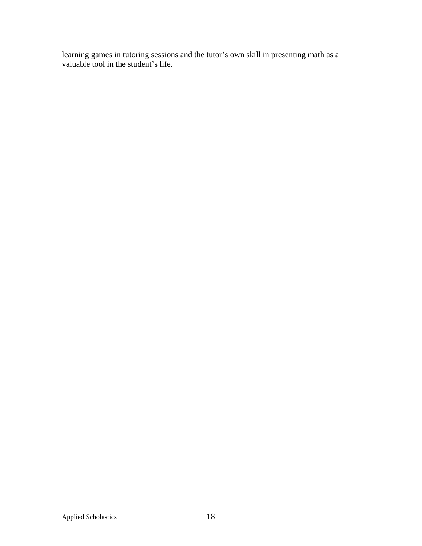learning games in tutoring sessions and the tutor's own skill in presenting math as a valuable tool in the student's life.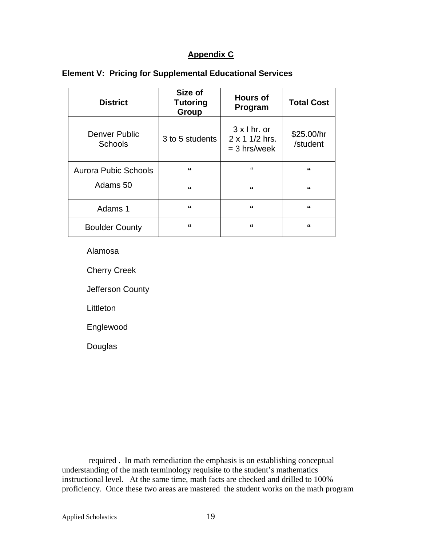# **Appendix C**

| <b>District</b>                 | Size of<br><b>Tutoring</b><br><b>Group</b> | <b>Hours of</b><br>Program                                     | <b>Total Cost</b>      |
|---------------------------------|--------------------------------------------|----------------------------------------------------------------|------------------------|
| Denver Public<br><b>Schools</b> | 3 to 5 students                            | $3 \times 1$ hr. or<br>$2 \times 1$ 1/2 hrs.<br>$=$ 3 hrs/week | \$25.00/hr<br>/student |
| <b>Aurora Pubic Schools</b>     | "                                          | $\mathbf{f}$                                                   | "                      |
| Adams 50                        | "                                          | "                                                              | "                      |
| Adams 1                         | "                                          | "                                                              | "                      |
| <b>Boulder County</b>           | "                                          | "                                                              | "                      |

# **Element V: Pricing for Supplemental Educational Services**

Alamosa

Cherry Creek

Jefferson County

**Littleton** 

Englewood

Douglas

 required . In math remediation the emphasis is on establishing conceptual understanding of the math terminology requisite to the student's mathematics instructional level. At the same time, math facts are checked and drilled to 100% proficiency. Once these two areas are mastered the student works on the math program